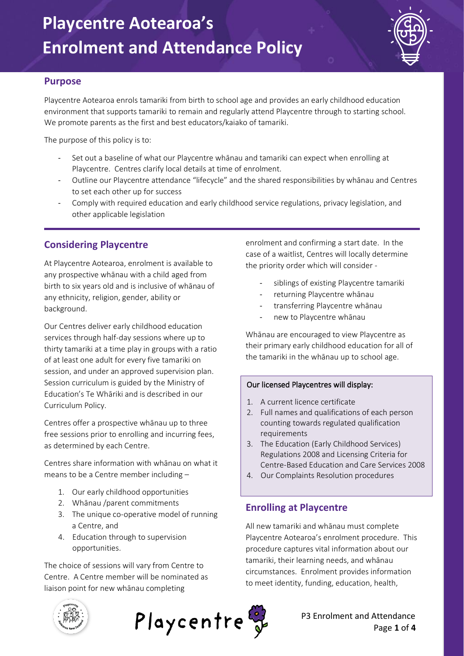

#### **Purpose**

Playcentre Aotearoa enrols tamariki from birth to school age and provides an early childhood education environment that supports tamariki to remain and regularly attend Playcentre through to starting school. We promote parents as the first and best educators/kaiako of tamariki.

The purpose of this policy is to:

- Set out a baseline of what our Playcentre whānau and tamariki can expect when enrolling at Playcentre. Centres clarify local details at time of enrolment.
- Outline our Playcentre attendance "lifecycle" and the shared responsibilities by whānau and Centres to set each other up for success
- Comply with required education and early childhood service regulations, privacy legislation, and other applicable legislation

 $\Box$ 

## **Considering Playcentre**

At Playcentre Aotearoa, enrolment is available to any prospective whānau with a child aged from birth to six years old and is inclusive of whānau of any ethnicity, religion, gender, ability or background.

Our Centres deliver early childhood education services through half-day sessions where up to thirty tamariki at a time play in groups with a ratio of at least one adult for every five tamariki on session, and under an approved supervision plan. Session curriculum is guided by the Ministry of Education's Te Whāriki and is described in our Curriculum Policy.

Centres offer a prospective whānau up to three free sessions prior to enrolling and incurring fees, as determined by each Centre.

Centres share information with whānau on what it means to be a Centre member including –

- 1. Our early childhood opportunities
- 2. Whānau /parent commitments
- 3. The unique co-operative model of running a Centre, and
- 4. Education through to supervision opportunities.

The choice of sessions will vary from Centre to Centre. A Centre member will be nominated as liaison point for new whānau completing

enrolment and confirming a start date. In the case of a waitlist, Centres will locally determine the priority order which will consider -

- siblings of existing Playcentre tamariki
- returning Playcentre whānau
- transferring Playcentre whānau
- new to Playcentre whānau

Whānau are encouraged to view Playcentre as their primary early childhood education for all of the tamariki in the whānau up to school age.

#### Our licensed Playcentres will display:

- 1. A current licence certificate
- 2. Full names and qualifications of each person counting towards regulated qualification requirements
- 3. The Education (Early Childhood Services) Regulations 2008 and Licensing Criteria for Centre-Based Education and Care Services 2008
- 4. Our Complaints Resolution procedures

#### **Enrolling at Playcentre**

All new tamariki and whānau must complete Playcentre Aotearoa's enrolment procedure. This procedure captures vital information about our tamariki, their learning needs, and whānau circumstances. Enrolment provides information to meet identity, funding, education, health,



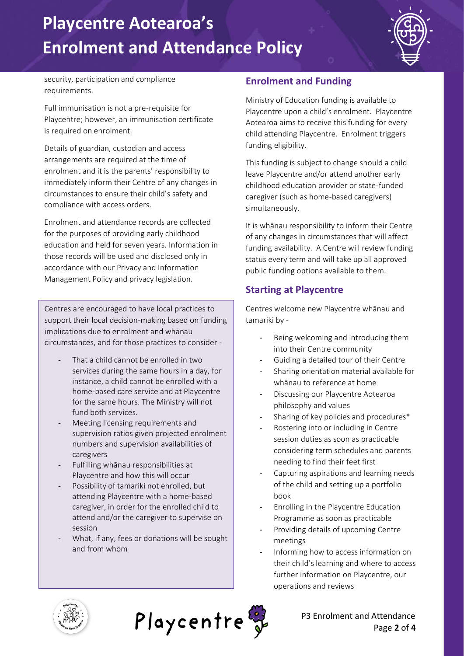# **Playcentre Aotearoa's Enrolment and Attendance Policy**



security, participation and compliance requirements.

Full immunisation is not a pre-requisite for Playcentre; however, an immunisation certificate is required on enrolment.

Details of guardian, custodian and access arrangements are required at the time of enrolment and it is the parents' responsibility to immediately inform their Centre of any changes in circumstances to ensure their child's safety and compliance with access orders.

Enrolment and attendance records are collected for the purposes of providing early childhood education and held for seven years. Information in those records will be used and disclosed only in accordance with our Privacy and Information Management Policy and privacy legislation.

Centres are encouraged to have local practices to support their local decision-making based on funding implications due to enrolment and whānau circumstances, and for those practices to consider -

- That a child cannot be enrolled in two services during the same hours in a day, for instance, a child cannot be enrolled with a home-based care service and at Playcentre for the same hours. The Ministry will not fund both services.
- Meeting licensing requirements and supervision ratios given projected enrolment numbers and supervision availabilities of caregivers
- Fulfilling whānau responsibilities at Playcentre and how this will occur
- Possibility of tamariki not enrolled, but attending Playcentre with a home-based caregiver, in order for the enrolled child to attend and/or the caregiver to supervise on session
- What, if any, fees or donations will be sought and from whom

### **Enrolment and Funding**

Ministry of Education funding is available to Playcentre upon a child's enrolment. Playcentre Aotearoa aims to receive this funding for every child attending Playcentre. Enrolment triggers funding eligibility.

This funding is subject to change should a child leave Playcentre and/or attend another early childhood education provider or state-funded caregiver (such as home-based caregivers) simultaneously.

It is whānau responsibility to inform their Centre of any changes in circumstances that will affect funding availability. A Centre will review funding status every term and will take up all approved public funding options available to them.

### **Starting at Playcentre**

Centres welcome new Playcentre whānau and tamariki by -

- Being welcoming and introducing them into their Centre community
- Guiding a detailed tour of their Centre
- Sharing orientation material available for whānau to reference at home
- Discussing our Playcentre Aotearoa philosophy and values
- Sharing of key policies and procedures\*
- Rostering into or including in Centre session duties as soon as practicable considering term schedules and parents needing to find their feet first
- Capturing aspirations and learning needs of the child and setting up a portfolio book
- Enrolling in the Playcentre Education Programme as soon as practicable
- Providing details of upcoming Centre meetings
- Informing how to access information on their child's learning and where to access further information on Playcentre, our operations and reviews





P3 Enrolment and Attendance Page **2** of **4**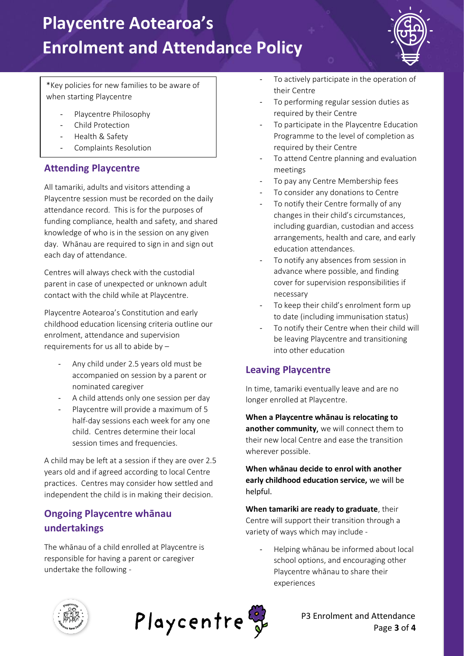# **Playcentre Aotearoa's Enrolment and Attendance Policy**



\*Key policies for new families to be aware of when starting Playcentre

- Playcentre Philosophy
- Child Protection
- Health & Safety
- Complaints Resolution

#### **Attending Playcentre**

All tamariki, adults and visitors attending a Playcentre session must be recorded on the daily attendance record. This is for the purposes of funding compliance, health and safety, and shared knowledge of who is in the session on any given day. Whānau are required to sign in and sign out each day of attendance.

Centres will always check with the custodial parent in case of unexpected or unknown adult contact with the child while at Playcentre.

Playcentre Aotearoa's Constitution and early childhood education licensing criteria outline our enrolment, attendance and supervision requirements for us all to abide by –

- Any child under 2.5 years old must be accompanied on session by a parent or nominated caregiver
- A child attends only one session per day
- Playcentre will provide a maximum of 5 half-day sessions each week for any one child. Centres determine their local session times and frequencies.

A child may be left at a session if they are over 2.5 years old and if agreed according to local Centre practices. Centres may consider how settled and independent the child is in making their decision.

### **Ongoing Playcentre whānau undertakings**

The whānau of a child enrolled at Playcentre is responsible for having a parent or caregiver undertake the following -

- To actively participate in the operation of their Centre
- To performing regular session duties as required by their Centre
- To participate in the Playcentre Education Programme to the level of completion as required by their Centre
- To attend Centre planning and evaluation meetings
- To pay any Centre Membership fees
- To consider any donations to Centre
- To notify their Centre formally of any changes in their child's circumstances, including guardian, custodian and access arrangements, health and care, and early education attendances.
- To notify any absences from session in advance where possible, and finding cover for supervision responsibilities if necessary
- To keep their child's enrolment form up to date (including immunisation status)
- To notify their Centre when their child will be leaving Playcentre and transitioning into other education

#### **Leaving Playcentre**

In time, tamariki eventually leave and are no longer enrolled at Playcentre.

**When a Playcentre whānau is relocating to another community**, we will connect them to their new local Centre and ease the transition wherever possible.

**When whānau decide to enrol with another early childhood education service,** we will be helpful.

**When tamariki are ready to graduate**, their Centre will support their transition through a variety of ways which may include -

- Helping whānau be informed about local school options, and encouraging other Playcentre whānau to share their experiences